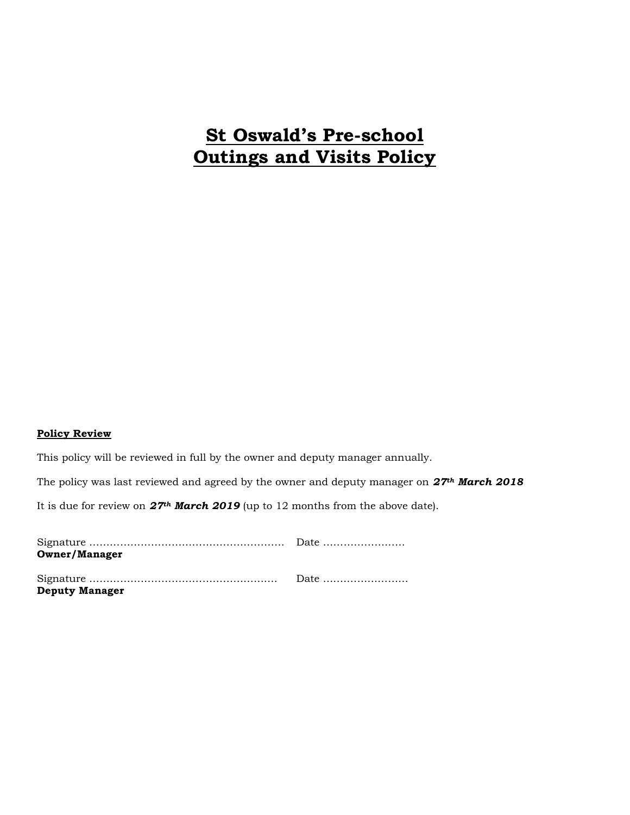## **St Oswald's Pre-school Outings and Visits Policy**

## **Policy Review**

This policy will be reviewed in full by the owner and deputy manager annually.

The policy was last reviewed and agreed by the owner and deputy manager on *27th March 2018*

It is due for review on *27th March 2019* (up to 12 months from the above date).

| <b>Owner/Manager</b>  |  |
|-----------------------|--|
| <b>Deputy Manager</b> |  |